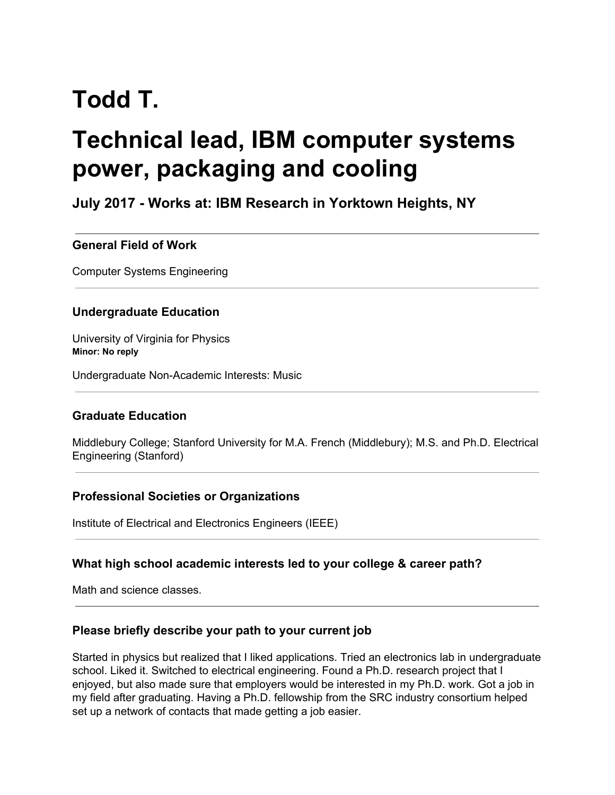# **Todd T.**

# **Technical lead, IBM computer systems power, packaging and cooling**

# **July 2017 - Works at: IBM Research in Yorktown Heights, NY**

#### **General Field of Work**

Computer Systems Engineering

#### **Undergraduate Education**

University of Virginia for Physics **Minor: No reply**

Undergraduate Non-Academic Interests: Music

# **Graduate Education**

Middlebury College; Stanford University for M.A. French (Middlebury); M.S. and Ph.D. Electrical Engineering (Stanford)

#### **Professional Societies or Organizations**

Institute of Electrical and Electronics Engineers (IEEE)

#### **What high school academic interests led to your college & career path?**

Math and science classes.

#### **Please briefly describe your path to your current job**

Started in physics but realized that I liked applications. Tried an electronics lab in undergraduate school. Liked it. Switched to electrical engineering. Found a Ph.D. research project that I enjoyed, but also made sure that employers would be interested in my Ph.D. work. Got a job in my field after graduating. Having a Ph.D. fellowship from the SRC industry consortium helped set up a network of contacts that made getting a job easier.